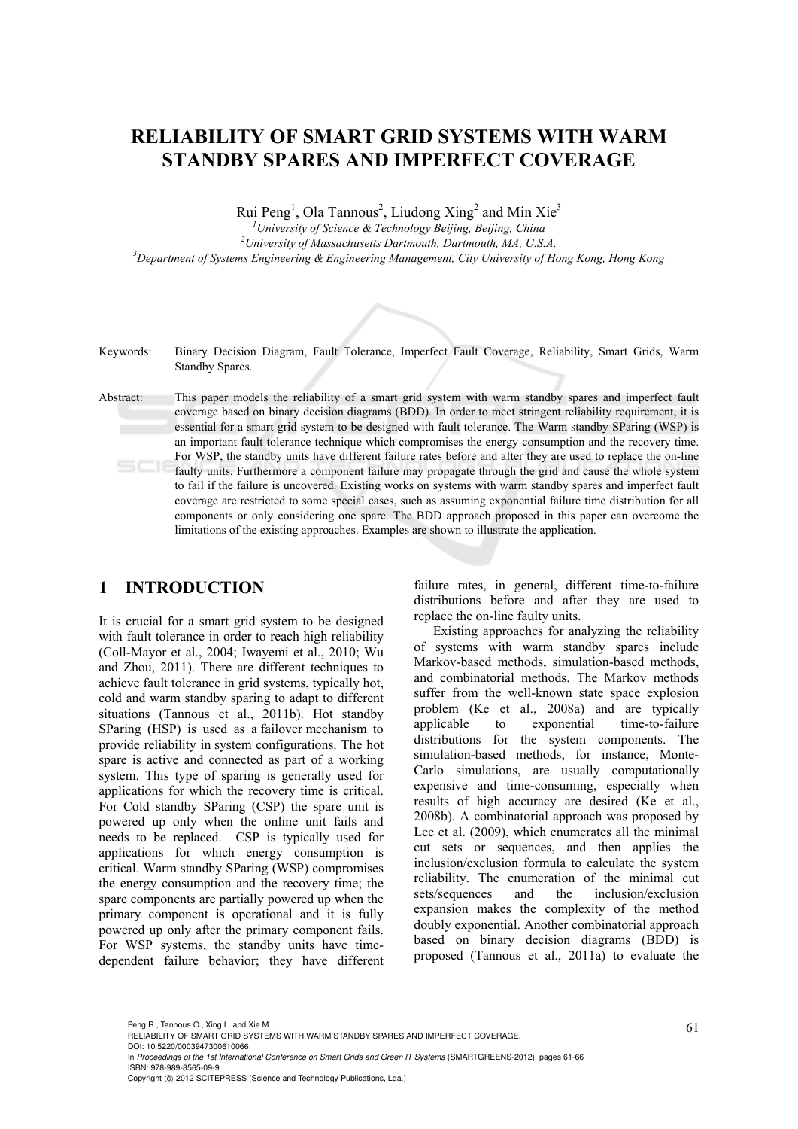# **RELIABILITY OF SMART GRID SYSTEMS WITH WARM STANDBY SPARES AND IMPERFECT COVERAGE**

Rui Peng<sup>1</sup>, Ola Tannous<sup>2</sup>, Liudong Xing<sup>2</sup> and Min Xie<sup>3</sup>

<sup>1</sup> *University of Science & Technology Beijing, Beijing, China*<br><sup>2</sup>*University of Massachusetts Daytmouth, Daytmouth, MA U.S.* <sup>2</sup> University of Massachusetts Dartmouth, Dartmouth, MA, U.S.A. *Department of Systems Engineering & Engineering Management, City University of Hong Kong, Hong Kong* 



Keywords: Binary Decision Diagram, Fault Tolerance, Imperfect Fault Coverage, Reliability, Smart Grids, Warm Standby Spares.

Abstract: This paper models the reliability of a smart grid system with warm standby spares and imperfect fault coverage based on binary decision diagrams (BDD). In order to meet stringent reliability requirement, it is essential for a smart grid system to be designed with fault tolerance. The Warm standby SParing (WSP) is an important fault tolerance technique which compromises the energy consumption and the recovery time. For WSP, the standby units have different failure rates before and after they are used to replace the on-line faulty units. Furthermore a component failure may propagate through the grid and cause the whole system to fail if the failure is uncovered. Existing works on systems with warm standby spares and imperfect fault coverage are restricted to some special cases, such as assuming exponential failure time distribution for all components or only considering one spare. The BDD approach proposed in this paper can overcome the limitations of the existing approaches. Examples are shown to illustrate the application.

# **1 INTRODUCTION**

It is crucial for a smart grid system to be designed with fault tolerance in order to reach high reliability (Coll-Mayor et al., 2004; Iwayemi et al., 2010; Wu and Zhou, 2011). There are different techniques to achieve fault tolerance in grid systems, typically hot, cold and warm standby sparing to adapt to different situations (Tannous et al., 2011b). Hot standby SParing (HSP) is used as a failover mechanism to provide reliability in system configurations. The hot spare is active and connected as part of a working system. This type of sparing is generally used for applications for which the recovery time is critical. For Cold standby SParing (CSP) the spare unit is powered up only when the online unit fails and needs to be replaced. CSP is typically used for applications for which energy consumption is critical. Warm standby SParing (WSP) compromises the energy consumption and the recovery time; the spare components are partially powered up when the primary component is operational and it is fully powered up only after the primary component fails. For WSP systems, the standby units have timedependent failure behavior; they have different

failure rates, in general, different time-to-failure distributions before and after they are used to replace the on-line faulty units.

Existing approaches for analyzing the reliability of systems with warm standby spares include Markov-based methods, simulation-based methods, and combinatorial methods. The Markov methods suffer from the well-known state space explosion problem (Ke et al., 2008a) and are typically applicable to exponential time-to-failure distributions for the system components. The simulation-based methods, for instance, Monte-Carlo simulations, are usually computationally expensive and time-consuming, especially when results of high accuracy are desired (Ke et al., 2008b). A combinatorial approach was proposed by Lee et al. (2009), which enumerates all the minimal cut sets or sequences, and then applies the inclusion/exclusion formula to calculate the system reliability. The enumeration of the minimal cut sets/sequences and the inclusion/exclusion expansion makes the complexity of the method doubly exponential. Another combinatorial approach based on binary decision diagrams (BDD) is proposed (Tannous et al., 2011a) to evaluate the

Peng R., Tannous O., Xing L. and Xie M..<br>RELIABILITY OF SMART GRID SYSTEMS WITH WARM STANDBY SPARES AND IMPERFECT COVERAGE. DOI: 10.5220/0003947300610066

In *Proceedings of the 1st International Conference on Smart Grids and Green IT Systems* (SMARTGREENS-2012), pages 61-66 ISBN: 978-989-8565-09-9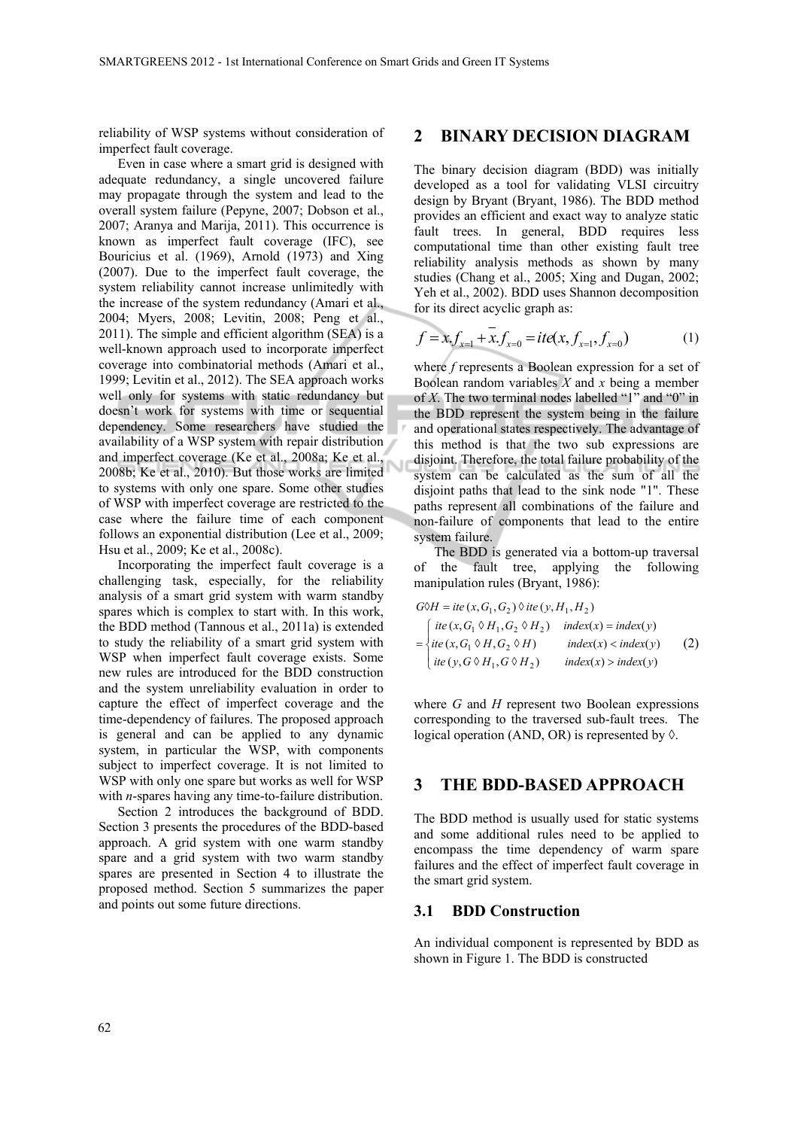reliability of WSP systems without consideration of imperfect fault coverage.

Even in case where a smart grid is designed with adequate redundancy, a single uncovered failure may propagate through the system and lead to the overall system failure (Pepyne, 2007; Dobson et al., 2007; Aranya and Marija, 2011). This occurrence is known as imperfect fault coverage (IFC), see Bouricius et al. (1969), Arnold (1973) and Xing (2007). Due to the imperfect fault coverage, the system reliability cannot increase unlimitedly with the increase of the system redundancy (Amari et al., 2004; Myers, 2008; Levitin, 2008; Peng et al., 2011). The simple and efficient algorithm (SEA) is a well-known approach used to incorporate imperfect coverage into combinatorial methods (Amari et al., 1999; Levitin et al., 2012). The SEA approach works well only for systems with static redundancy but doesn't work for systems with time or sequential dependency. Some researchers have studied the availability of a WSP system with repair distribution and imperfect coverage (Ke et al., 2008a; Ke et al., 2008b; Ke et al., 2010). But those works are limited to systems with only one spare. Some other studies of WSP with imperfect coverage are restricted to the case where the failure time of each component follows an exponential distribution (Lee et al., 2009; Hsu et al., 2009; Ke et al., 2008c).

Incorporating the imperfect fault coverage is a challenging task, especially, for the reliability analysis of a smart grid system with warm standby spares which is complex to start with. In this work, the BDD method (Tannous et al., 2011a) is extended to study the reliability of a smart grid system with WSP when imperfect fault coverage exists. Some new rules are introduced for the BDD construction and the system unreliability evaluation in order to capture the effect of imperfect coverage and the time-dependency of failures. The proposed approach is general and can be applied to any dynamic system, in particular the WSP, with components subject to imperfect coverage. It is not limited to WSP with only one spare but works as well for WSP with *n*-spares having any time-to-failure distribution.

Section 2 introduces the background of BDD. Section 3 presents the procedures of the BDD-based approach. A grid system with one warm standby spare and a grid system with two warm standby spares are presented in Section 4 to illustrate the proposed method. Section 5 summarizes the paper and points out some future directions.

#### **2 BINARY DECISION DIAGRAM**

The binary decision diagram (BDD) was initially developed as a tool for validating VLSI circuitry design by Bryant (Bryant, 1986). The BDD method provides an efficient and exact way to analyze static fault trees. In general, BDD requires less computational time than other existing fault tree reliability analysis methods as shown by many studies (Chang et al., 2005; Xing and Dugan, 2002; Yeh et al., 2002). BDD uses Shannon decomposition for its direct acyclic graph as:

$$
f = x f_{x=1} + x f_{x=0} = ite(x, f_{x=1}, f_{x=0})
$$
 (1)

where *f* represents a Boolean expression for a set of Boolean random variables *X* and *x* being a member of *X*. The two terminal nodes labelled "1" and "0" in the BDD represent the system being in the failure and operational states respectively. The advantage of this method is that the two sub expressions are disjoint. Therefore, the total failure probability of the system can be calculated as the sum of all the disjoint paths that lead to the sink node "1". These paths represent all combinations of the failure and non-failure of components that lead to the entire system failure.

 The BDD is generated via a bottom-up traversal of the fault tree, applying the following manipulation rules (Bryant, 1986):

$$
G \circ H = ite(x, G_1, G_2) \circ ite(y, H_1, H_2)
$$
  
= 
$$
\begin{cases} ite(x, G_1 \circ H_1, G_2 \circ H_2) & index(x) = index(y) \\ ite(x, G_1 \circ H, G_2 \circ H) & index(x) < index(y) \\ ite(y, G \circ H_1, G \circ H_2) & index(x) > index(y) \end{cases}
$$
 (2)

where *G* and *H* represent two Boolean expressions corresponding to the traversed sub-fault trees. The logical operation (AND, OR) is represented by *◊*.

#### **3 THE BDD-BASED APPROACH**

The BDD method is usually used for static systems and some additional rules need to be applied to encompass the time dependency of warm spare failures and the effect of imperfect fault coverage in the smart grid system.

#### **3.1 BDD Construction**

An individual component is represented by BDD as shown in Figure 1. The BDD is constructed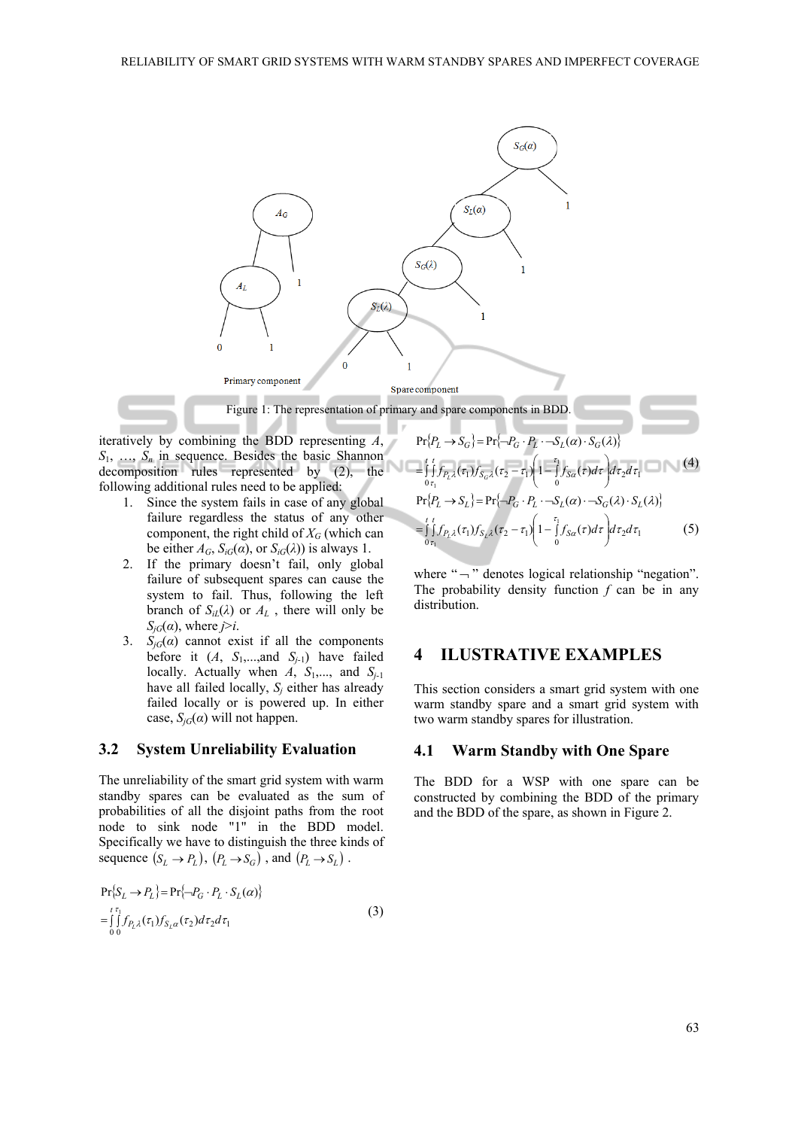

iteratively by combining the BDD representing *A*,  $S_1$ , ...,  $S_n$  in sequence. Besides the basic Shannon

decomposition rules represented by (2), the following additional rules need to be applied:

- 1. Since the system fails in case of any global failure regardless the status of any other component, the right child of  $X_G$  (which can be either  $A_G$ ,  $S_{iG}(\alpha)$ , or  $S_{iG}(\lambda)$ ) is always 1.
- 2. If the primary doesn't fail, only global failure of subsequent spares can cause the system to fail. Thus, following the left branch of  $S_{iL}(\lambda)$  or  $A_L$ , there will only be  $S_{iG}(\alpha)$ , where *j*>*i*.
- 3.  $S_{iG}(\alpha)$  cannot exist if all the components before it  $(A, S_1, \ldots, A_n)$  have failed locally. Actually when  $\overrightarrow{A}$ ,  $S_1$ ,..., and  $S_{i-1}$ have all failed locally,  $S_i$  either has already failed locally or is powered up. In either case,  $S_{iG}(\alpha)$  will not happen.

#### **3.2 System Unreliability Evaluation**

The unreliability of the smart grid system with warm standby spares can be evaluated as the sum of probabilities of all the disjoint paths from the root node to sink node "1" in the BDD model. Specifically we have to distinguish the three kinds of sequence  $(S_L \to P_L)$ ,  $(P_L \to S_G)$ , and  $(P_L \to S_L)$ .

$$
\Pr\{S_L \to P_L\} = \Pr\{-P_G \cdot P_L \cdot S_L(\alpha)\}
$$
  
= 
$$
\int_0^{t \tau_1} f_{P_L \lambda}(\tau_1) f_{S_L \alpha}(\tau_2) d\tau_2 d\tau_1
$$
 (3)

$$
Pr{P_L \rightarrow S_G} = Pr{\neg P_G \cdot P_L \cdot \neg S_L(\alpha) \cdot S_G(\lambda)}
$$
  
= 
$$
\int_{0 \tau_1}^{t} f_{P_L\lambda}(\tau_1) f_{S_G\lambda}(\tau_2 - \tau_1) \left(1 - \int_{0}^{\tau_1} f_{S_G}(\tau) d\tau\right) d\tau_2 d\tau_1
$$
 (4)  

$$
Pr{P_L \rightarrow S_L} = Pr{\neg P_G \cdot P_L \cdot \neg S_L(\alpha) \cdot \neg S_G(\lambda) \cdot S_L(\lambda)}
$$
  
= 
$$
\int_{0 \tau_1}^{t} f_{P_L\lambda}(\tau_1) f_{S_L\lambda}(\tau_2 - \tau_1) \left(1 - \int_{0}^{\tau_1} f_{S_G}(\tau) d\tau\right) d\tau_2 d\tau_1
$$
 (5)

where " $\neg$ " denotes logical relationship "negation". The probability density function *f* can be in any distribution.

### **4 ILUSTRATIVE EXAMPLES**

This section considers a smart grid system with one warm standby spare and a smart grid system with two warm standby spares for illustration.

#### **4.1 Warm Standby with One Spare**

The BDD for a WSP with one spare can be constructed by combining the BDD of the primary and the BDD of the spare, as shown in Figure 2.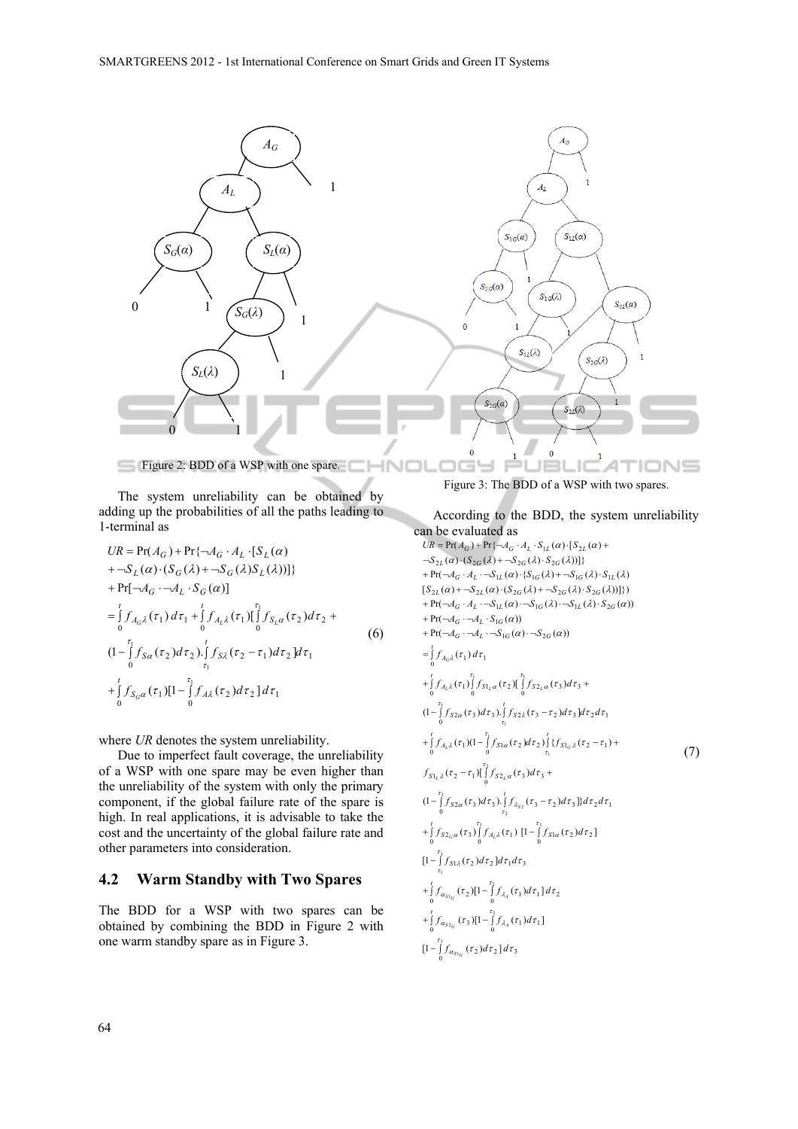

The system unreliability can be obtained by adding up the probabilities of all the paths leading to 1-terminal as

1 0 0 1 2 2 2 1 2 1 0 2 2 0 0 <sup>1</sup> <sup>1</sup> <sup>2</sup> <sup>2</sup> <sup>0</sup> <sup>1</sup> ( )[1 ( ) ] (1 ( ) ). ( ) ] ( ) ( )[ ( ) Pr[ ( )] ( ) ( ( ) ( ) ( ))]} Pr( ) Pr{ [ ( ) 1 1 1 1 τ τ τ τ τ τ τ τ τ τ τ τ τ τ τ α <sup>α</sup> λ λ λ α τ <sup>α</sup> λ τ λ τ α τ λ λ <sup>α</sup> *f f d d f d f d d f d f f d A A S S S S S UR A A A S t S A t S S t A S t A G L G L G G L G G L L G G L L* + ∫ ∫ − − ∫ ∫ − = ∫ + ∫ ∫ + + ¬ ⋅¬ ⋅ + ¬ ⋅ + ¬ = + ¬ ⋅ ⋅ (6)

where *UR* denotes the system unreliability.

Due to imperfect fault coverage, the unreliability of a WSP with one spare may be even higher than the unreliability of the system with only the primary component, if the global failure rate of the spare is high. In real applications, it is advisable to take the cost and the uncertainty of the global failure rate and other parameters into consideration.

# **4.2 Warm Standby with Two Spares**

The BDD for a WSP with two spares can be obtained by combining the BDD in Figure 2 with one warm standby spare as in Figure 3.

Figure 3: The BDD of a WSP with two spares.

According to the BDD, the system unreliability can be evaluated as  $\left[1-\int\limits_{0}^{t_3} f_{\alpha_{s1_G}}(\tau_2) d\tau_2\right] d\tau_3$  $\int_{0}^{t} f_{\alpha_{s_{2}}}( \tau_{3}) [1-\int_{0}^{t_{3}} f_{\lambda_{4}}( \tau_{1}) d\tau_{1}]$  $\int_{0}^{t} f_{\alpha_{S1_G}}(\tau_2) [1-\int_{0}^{i_2} f_{\lambda_A}(\tau_1) d\tau_1] d\tau_2$  $[1-\int_{\tau_1}^{\tau_3} f_{S1\lambda}(\tau_2) d\tau_2] d\tau_1 d\tau_3$  $\int_{0}^{t} f_{S2_G\alpha}(\tau_3) \int_{0}^{\tau_3} f_{A_L\lambda}(\tau_1) \left[1 - \int_{0}^{\tau_3} f_{S1\alpha}(\tau_2) d\tau_2\right]$  $(1-\int_{0}^{1}f_{S2\alpha}(\tau_{3})d\tau_{3})\int_{\tau_{2}}^{1}f_{\lambda_{S2}}(\tau_{3}-\tau_{2})d\tau_{3}]$ } $d\tau_{2}d\tau_{1}$  $f_{S1_L\lambda}(\tau_2-\tau_1)[\int_0^{\tau_2} f_{S2_L\alpha}(\tau_3)d\tau_3 +$  $\int_{0}^{t} f_{A_{L}\lambda}(\tau_{1})(1-\int_{0}^{t} f_{S1\alpha}(\tau_{2})d\tau_{2})\int_{\tau_{1}}^{t} \{f_{S1_{G}\lambda}(\tau_{2}-\tau_{1})\}$  $(1-\int_{0}^{1}f_{S2\alpha}(\tau_{3})d\tau_{3})\int_{\tau_{1}}^{1}f_{S2\lambda}(\tau_{3}-\tau_{2})d\tau_{3}]d\tau_{2}d\tau_{1}$  $\int_{0}^{t} f_{A_{L} \lambda}(\tau_{1}) \int_{0}^{\tau_{1}} f_{S1_{L} \alpha}(\tau_{2}) \int_{0}^{\tau_{1}} f_{S2_{L} \alpha}(\tau_{3}) d\tau_{3}$  $f_{A_G\lambda}(\tau_1) d\tau_1$ 0  $+ \Pr(\neg A_G \cdot \neg A_L \cdot \neg S_{1G}(\alpha) \cdot \neg S_{2G}(\alpha))$  $+ \Pr(\neg A_G \cdot \neg A_L \cdot S_{1G}(\alpha))$  $+ \Pr(\neg A_G \cdot A_L \cdot \neg S_{1L}(\alpha) \cdot \neg S_{1G}(\lambda) \cdot \neg S_{1L}(\lambda) \cdot S_{2G}(\alpha))$  $[S_{2L}(\alpha) + S_{2L}(\alpha) \cdot (S_{2G}(\lambda) + S_{2G}(\lambda) \cdot S_{2G}(\lambda))]\})$  $+ \Pr(\neg A_G \cdot A_L \cdot \neg S_{1L}(\alpha) \cdot \{S_{1G}(\lambda) + \neg S_{1G}(\lambda) \cdot S_{1L}(\lambda)\}\$  $\left\{\nabla S_{2L}(\alpha) \cdot (S_{2G}(\lambda) + S_{2G}(\lambda) \cdot S_{2G}(\lambda))\n\right]\n\}$  $UR = \Pr(A_G) + \Pr\{\neg A_G \cdot A_L \cdot S_{1L}(\alpha) \cdot [S_{2L}(\alpha) +$  $\int_{0}^{\tau_{3}} f_{\alpha_{s_{1}a}}(\tau_{2}) d\tau_{2}] d\tau$  $f_{\alpha_{s2_G}}(\tau_3)[1-\int_{0}^{\tau_3}f_{\lambda_A}(\tau_1)d\tau$  $f_{\alpha_{S1_G}}(\tau_2)[1-\int_{0}^{\tau_2}f_{\lambda_A}(\tau_1)d\tau_1]d\tau_2$ 1  $\int_{0}^{\tau_2} f_{S2\alpha}(\tau_3) d\tau_3 \cdot \int_{\tau_3}^{t} f_{\lambda_{S2}}(\tau_3-\tau_2) d\tau_3 \cdot \int_{0}^{t} d\tau_2 d\tau_3$  $f_{A_L\lambda}(\tau_1)(1-\int_0^{\tau_1}f_{S1\alpha}(\tau_2)d\tau_2)\int_{\tau_1}^t\{f_{S1_G\lambda}(\tau_2-\tau_1)$  $\int_{0}^{\tau_1} f_{S2\alpha}(\tau_3) d\tau_3 \cdot \int_{\tau_1}^{t} f_{S2\lambda}(\tau_3-\tau_2) d\tau_3 d\tau_2 d\tau_3$  $-\int_{0}^{t} f_{\alpha_{S1_G}}(\tau_2) d\tau_2 d\tau_2$ α  $f_{S2_G\alpha}(\tau_3) \int_{1}^{\tau_3} f_{A_L\lambda}(\tau_1) \left[1 - \int_{1}^{\tau_3} f_{S1\alpha}(\tau_2) \right]$  $f_{S2\alpha}(\tau_3) d\tau_3$ ).  $\int f_{\lambda_{S2}}(\tau_3 - \tau_2) d\tau_3$  }}  $d\tau_2 d\tau_3$  $f_{S2a}(\tau_3) d\tau_3$ ).  $\int_{1}^{t} f_{S2\lambda}(\tau_3 - \tau_2) d\tau_3 d\tau_2 d\tau_3$  $f_{A_{L} \lambda}(\tau_{1}) \int_{a_{L} \alpha}^{\tau_{1}} f_{S1_{L} \alpha}(\tau_{2}) \int_{a_{L} \alpha}^{\tau_{1}} f_{S2_{L} \alpha}(\tau_{3}) d\tau$  $+\int_{a_{32}}^{t} f_{a_{32}}(\tau_3)[1-\int_{0}^{\tau}$  $+\int_{0}^{t} f_{\alpha_{s(c)}}(\tau_2)[1-\int_{0}^{\tau_1}$ *t*  $+\int f_{S2_G}(\tau_3) \int f_{A_L\lambda}(\tau_1)$  [1 – ] *t*  $-\int f_{S2\alpha}(\tau_3) d\tau_3$ .  $\int f_{\lambda_{S2}}(\tau_3$ *t S t*  $+ \int f_{A_l \lambda}(\tau_1) (1 - \int f_{S l \alpha}(\tau_2) d\tau_2) \int \{f_{S l \alpha} \lambda(\tau_2 - \tau_1) +$  $-\int f_{S2\alpha}(\tau_3) d\tau_3$ ). $\int f_{S2\lambda}(\tau_3$ *t*  $+ \int f_{A_{l},\lambda}(\tau_{1}) \int f_{S_{l},\alpha}(\tau_{2}) \int \int f_{S_{l},\alpha}(\tau_{3}) d\tau_{3} +$ *t*  $=\int f_A$ (7)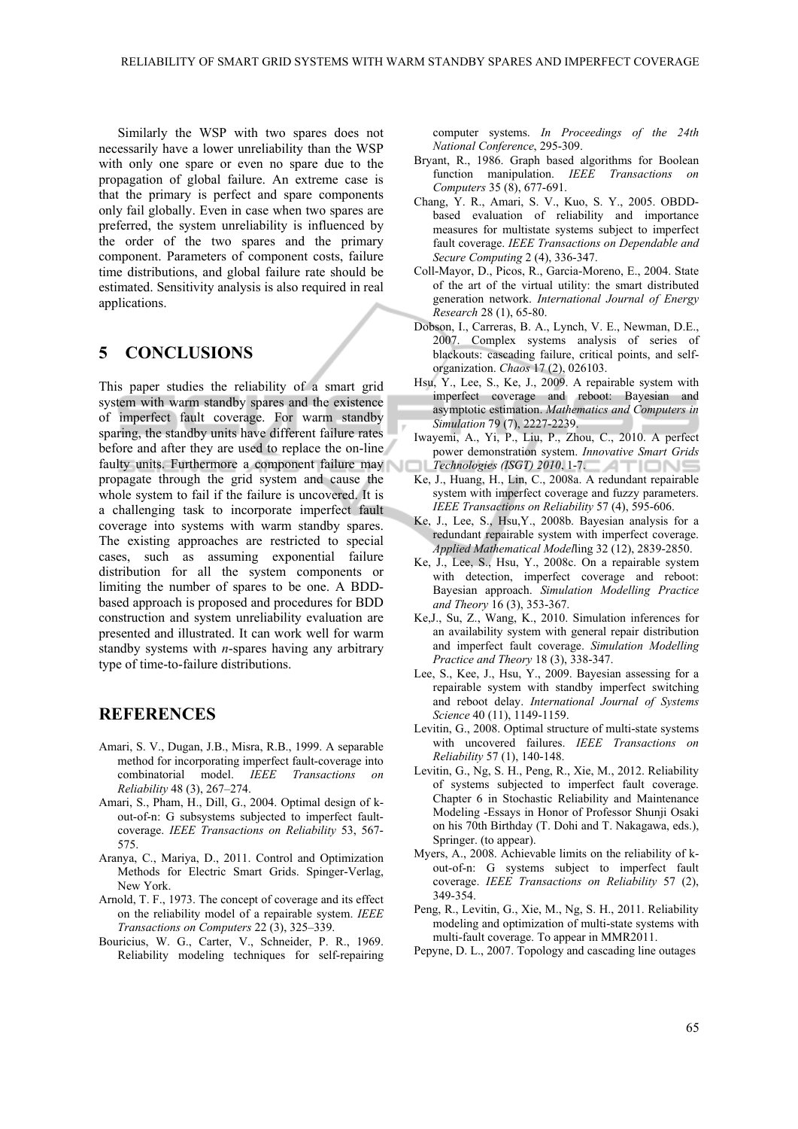Similarly the WSP with two spares does not necessarily have a lower unreliability than the WSP with only one spare or even no spare due to the propagation of global failure. An extreme case is that the primary is perfect and spare components only fail globally. Even in case when two spares are preferred, the system unreliability is influenced by the order of the two spares and the primary component. Parameters of component costs, failure time distributions, and global failure rate should be estimated. Sensitivity analysis is also required in real applications.

# **5 CONCLUSIONS**

This paper studies the reliability of a smart grid system with warm standby spares and the existence of imperfect fault coverage. For warm standby sparing, the standby units have different failure rates before and after they are used to replace the on-line faulty units. Furthermore a component failure may propagate through the grid system and cause the whole system to fail if the failure is uncovered. It is a challenging task to incorporate imperfect fault coverage into systems with warm standby spares. The existing approaches are restricted to special cases, such as assuming exponential failure distribution for all the system components or limiting the number of spares to be one. A BDDbased approach is proposed and procedures for BDD construction and system unreliability evaluation are presented and illustrated. It can work well for warm standby systems with *n*-spares having any arbitrary type of time-to-failure distributions.

# **REFERENCES**

- Amari, S. V., Dugan, J.B., Misra, R.B., 1999. A separable method for incorporating imperfect fault-coverage into combinatorial model. **IEEE** Transactions *Reliability* 48 (3), 267–274.
- Amari, S., Pham, H., Dill, G., 2004. Optimal design of kout-of-n: G subsystems subjected to imperfect faultcoverage. *IEEE Transactions on Reliability* 53, 567- 575.
- Aranya, C., Mariya, D., 2011. Control and Optimization Methods for Electric Smart Grids. Spinger-Verlag, New York.
- Arnold, T. F., 1973. The concept of coverage and its effect on the reliability model of a repairable system. *IEEE Transactions on Computers* 22 (3), 325–339.
- Bouricius, W. G., Carter, V., Schneider, P. R., 1969. Reliability modeling techniques for self-repairing

computer systems. *In Proceedings of the 24th National Conference*, 295-309.

- Bryant, R., 1986. Graph based algorithms for Boolean function manipulation. *IEEE Transactions on Computers* 35 (8), 677-691.
- Chang, Y. R., Amari, S. V., Kuo, S. Y., 2005. OBDDbased evaluation of reliability and importance measures for multistate systems subject to imperfect fault coverage. *IEEE Transactions on Dependable and Secure Computing* 2 (4), 336-347.
- Coll-Mayor, D., Picos, R., Garcia-Moreno, E., 2004. State of the art of the virtual utility: the smart distributed generation network. *International Journal of Energy Research* 28 (1), 65-80.
- Dobson, I., Carreras, B. A., Lynch, V. E., Newman, D.E., 2007. Complex systems analysis of series of blackouts: cascading failure, critical points, and selforganization. *Chaos* 17 (2), 026103.
- Hsu, Y., Lee, S., Ke, J., 2009. A repairable system with imperfect coverage and reboot: Bayesian and asymptotic estimation. *Mathematics and Computers in Simulation* 79 (7), 2227-2239.
- Iwayemi, A., Yi, P., Liu, P., Zhou, C., 2010. A perfect power demonstration system. *Innovative Smart Grids Technologies (ISGT) 2010*, 1-7.
- Ke, J., Huang, H., Lin, C., 2008a. A redundant repairable system with imperfect coverage and fuzzy parameters. *IEEE Transactions on Reliability* 57 (4), 595-606.
- Ke, J., Lee, S., Hsu,Y., 2008b. Bayesian analysis for a redundant repairable system with imperfect coverage. *Applied Mathematical Model*ling 32 (12), 2839-2850.
- Ke, J., Lee, S., Hsu, Y., 2008c. On a repairable system with detection, imperfect coverage and reboot: Bayesian approach. *Simulation Modelling Practice and Theory* 16 (3), 353-367.
- Ke,J., Su, Z., Wang, K., 2010. Simulation inferences for an availability system with general repair distribution and imperfect fault coverage. *Simulation Modelling Practice and Theory* 18 (3), 338-347.
- Lee, S., Kee, J., Hsu, Y., 2009. Bayesian assessing for a repairable system with standby imperfect switching and reboot delay. *International Journal of Systems Science* 40 (11), 1149-1159.
- Levitin, G., 2008. Optimal structure of multi-state systems with uncovered failures. *IEEE Transactions on Reliability* 57 (1), 140-148.
- Levitin, G., Ng, S. H., Peng, R., Xie, M., 2012. Reliability of systems subjected to imperfect fault coverage. Chapter 6 in Stochastic Reliability and Maintenance Modeling -Essays in Honor of Professor Shunji Osaki on his 70th Birthday (T. Dohi and T. Nakagawa, eds.), Springer. (to appear).
- Myers, A., 2008. Achievable limits on the reliability of kout-of-n: G systems subject to imperfect fault coverage. *IEEE Transactions on Reliability* 57 (2), 349-354.
- Peng, R., Levitin, G., Xie, M., Ng, S. H., 2011. Reliability modeling and optimization of multi-state systems with multi-fault coverage. To appear in MMR2011.
- Pepyne, D. L., 2007. Topology and cascading line outages